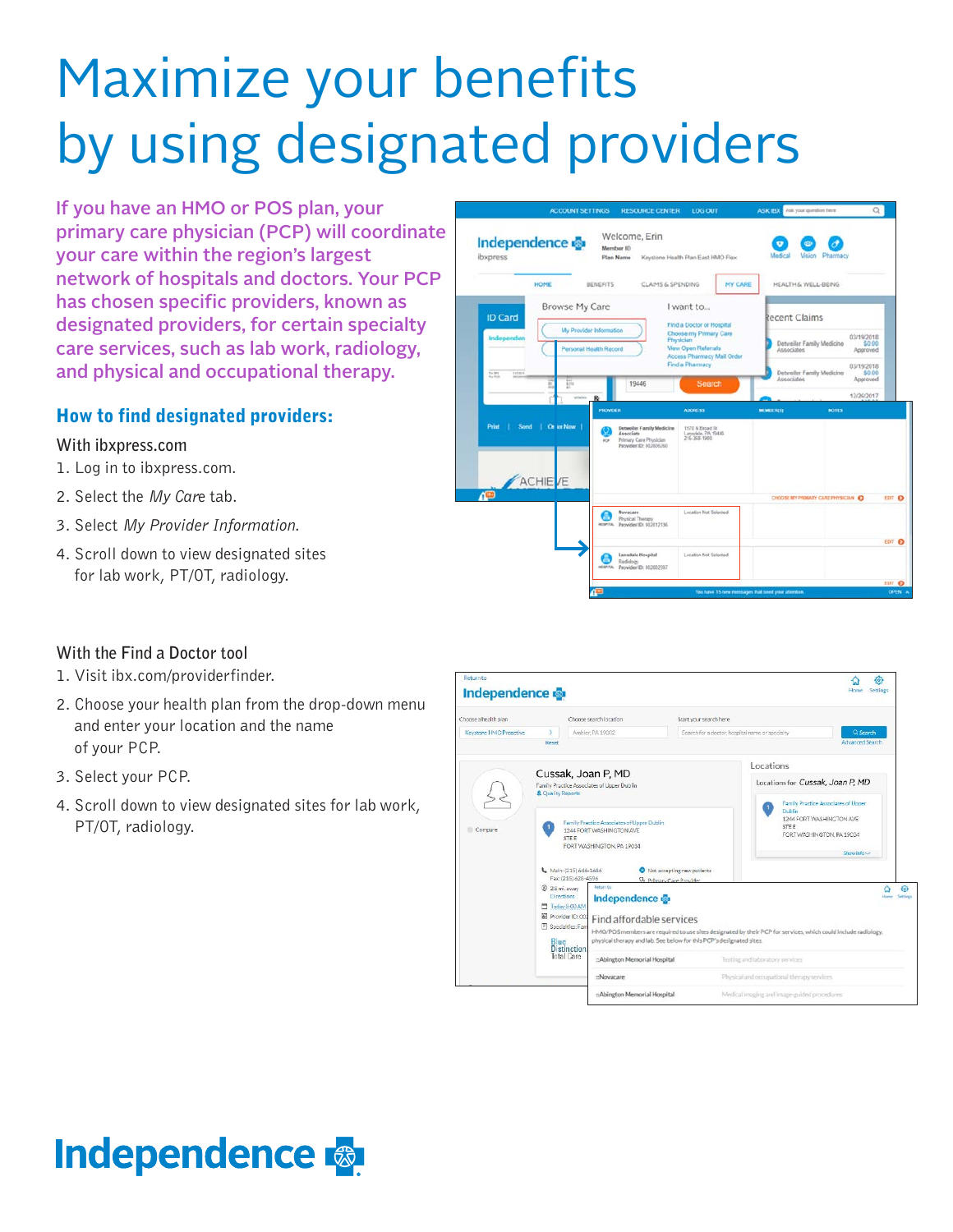# Maximize your benefits by using designated providers

If you have an HMO or POS plan, your primary care physician (PCP) will coordinate your care within the region's largest network of hospitals and doctors. Your PCP has chosen specific providers, known as designated providers, for certain specialty care services, such as lab work, radiology, and physical and occupational therapy.

## How to find designated providers:

#### **With ibxpress.com**

- 1. Log in to ibxpress.com.
- 2. Select the *My Car*e tab.
- 3. Select *My Provider Information*.
- 4. Scroll down to view designated sites for lab work, PT/OT, radiology.



#### **With the Find a Doctor tool**

- 1. Visit ibx.com/providerfinder.
- 2. Choose your health plan from the drop-down menu and enter your location and the name of your PCP.
- 3. Select your PCP.
- 4. Scroll down to view designated sites for lab work, PT/OT, radiology.